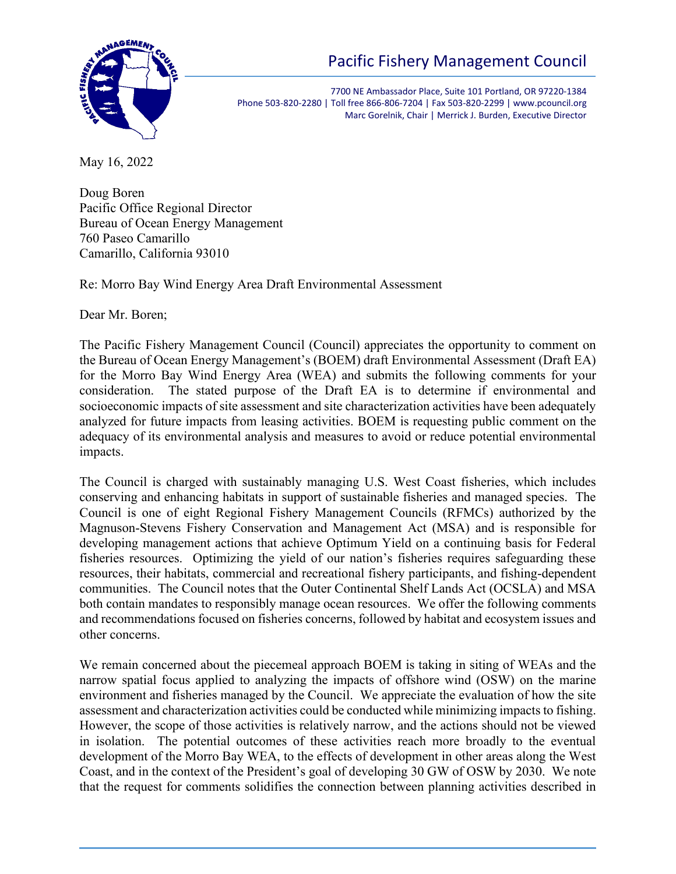

# Pacific Fishery Management Council

7700 NE Ambassador Place, Suite 101 Portland, OR 97220-1384 Phone 503-820-2280 | Toll free 866-806-7204 | Fax 503-820-2299 | www.pcouncil.org Marc Gorelnik, Chair | Merrick J. Burden, Executive Director

May 16, 2022

Doug Boren Pacific Office Regional Director Bureau of Ocean Energy Management 760 Paseo Camarillo Camarillo, California 93010

Re: Morro Bay Wind Energy Area Draft Environmental Assessment

Dear Mr. Boren;

The Pacific Fishery Management Council (Council) appreciates the opportunity to comment on the Bureau of Ocean Energy Management's (BOEM) draft Environmental Assessment (Draft EA) for the Morro Bay Wind Energy Area (WEA) and submits the following comments for your consideration. The stated purpose of the Draft EA is to determine if environmental and socioeconomic impacts of site assessment and site characterization activities have been adequately analyzed for future impacts from leasing activities. BOEM is requesting public comment on the adequacy of its environmental analysis and measures to avoid or reduce potential environmental impacts.

The Council is charged with sustainably managing U.S. West Coast fisheries, which includes conserving and enhancing habitats in support of sustainable fisheries and managed species. The Council is one of eight Regional Fishery Management Councils (RFMCs) authorized by the Magnuson-Stevens Fishery Conservation and Management Act (MSA) and is responsible for developing management actions that achieve Optimum Yield on a continuing basis for Federal fisheries resources. Optimizing the yield of our nation's fisheries requires safeguarding these resources, their habitats, commercial and recreational fishery participants, and fishing-dependent communities. The Council notes that the Outer Continental Shelf Lands Act (OCSLA) and MSA both contain mandates to responsibly manage ocean resources. We offer the following comments and recommendations focused on fisheries concerns, followed by habitat and ecosystem issues and other concerns.

We remain concerned about the piecemeal approach BOEM is taking in siting of WEAs and the narrow spatial focus applied to analyzing the impacts of offshore wind (OSW) on the marine environment and fisheries managed by the Council. We appreciate the evaluation of how the site assessment and characterization activities could be conducted while minimizing impacts to fishing. However, the scope of those activities is relatively narrow, and the actions should not be viewed in isolation. The potential outcomes of these activities reach more broadly to the eventual development of the Morro Bay WEA, to the effects of development in other areas along the West Coast, and in the context of the President's goal of developing 30 GW of OSW by 2030. We note that the request for comments solidifies the connection between planning activities described in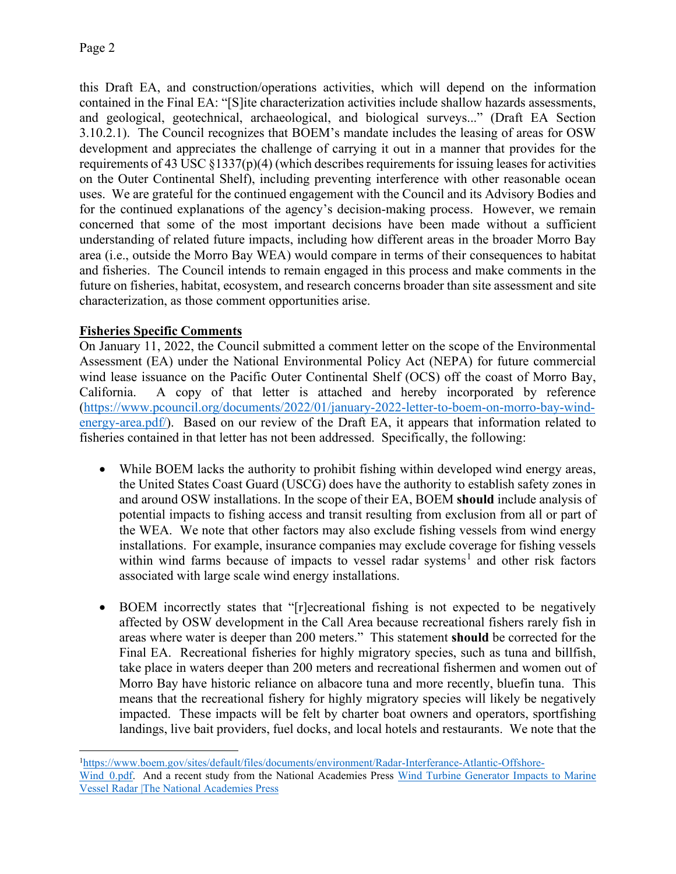this Draft EA, and construction/operations activities, which will depend on the information contained in the Final EA: "[S]ite characterization activities include shallow hazards assessments, and geological, geotechnical, archaeological, and biological surveys..." (Draft EA Section 3.10.2.1). The Council recognizes that BOEM's mandate includes the leasing of areas for OSW development and appreciates the challenge of carrying it out in a manner that provides for the requirements of 43 USC  $\S 1337(p)(4)$  (which describes requirements for issuing leases for activities on the Outer Continental Shelf), including preventing interference with other reasonable ocean uses. We are grateful for the continued engagement with the Council and its Advisory Bodies and for the continued explanations of the agency's decision-making process. However, we remain concerned that some of the most important decisions have been made without a sufficient understanding of related future impacts, including how different areas in the broader Morro Bay area (i.e., outside the Morro Bay WEA) would compare in terms of their consequences to habitat and fisheries. The Council intends to remain engaged in this process and make comments in the future on fisheries, habitat, ecosystem, and research concerns broader than site assessment and site characterization, as those comment opportunities arise.

# **Fisheries Specific Comments**

On January 11, 2022, the Council submitted a comment letter on the scope of the Environmental Assessment (EA) under the National Environmental Policy Act (NEPA) for future commercial wind lease issuance on the Pacific Outer Continental Shelf (OCS) off the coast of Morro Bay, California. A copy of that letter is attached and hereby incorporated by reference [\(https://www.pcouncil.org/documents/2022/01/january-2022-letter-to-boem-on-morro-bay-wind](https://www.pcouncil.org/documents/2022/01/january-2022-letter-to-boem-on-morro-bay-wind-energy-area.pdf/)[energy-area.pdf/\)](https://www.pcouncil.org/documents/2022/01/january-2022-letter-to-boem-on-morro-bay-wind-energy-area.pdf/). Based on our review of the Draft EA, it appears that information related to fisheries contained in that letter has not been addressed. Specifically, the following:

- While BOEM lacks the authority to prohibit fishing within developed wind energy areas, the United States Coast Guard (USCG) does have the authority to establish safety zones in and around OSW installations. In the scope of their EA, BOEM **should** include analysis of potential impacts to fishing access and transit resulting from exclusion from all or part of the WEA. We note that other factors may also exclude fishing vessels from wind energy installations. For example, insurance companies may exclude coverage for fishing vessels within wind farms because of impacts to vessel radar systems<sup>[1](#page-1-0)</sup> and other risk factors associated with large scale wind energy installations.
- BOEM incorrectly states that "[r]ecreational fishing is not expected to be negatively affected by OSW development in the Call Area because recreational fishers rarely fish in areas where water is deeper than 200 meters." This statement **should** be corrected for the Final EA. Recreational fisheries for highly migratory species, such as tuna and billfish, take place in waters deeper than 200 meters and recreational fishermen and women out of Morro Bay have historic reliance on albacore tuna and more recently, bluefin tuna. This means that the recreational fishery for highly migratory species will likely be negatively impacted. These impacts will be felt by charter boat owners and operators, sportfishing landings, live bait providers, fuel docks, and local hotels and restaurants. We note that the

<span id="page-1-0"></span><sup>1</sup> [https://www.boem.gov/sites/default/files/documents/environment/Radar-Interferance-Atlantic-Offshore-](https://www.boem.gov/sites/default/files/documents/environment/Radar-Interferance-Atlantic-Offshore-Wind_0.pdf)Wind 0.pdf. And a recent study from the National Academies Press Wind Turbine Generator Impacts to Marine [Vessel Radar |The National Academies Press](https://nap.nationalacademies.org/catalog/26430/wind-turbine-generator-impacts-to-marine-vessel-radar)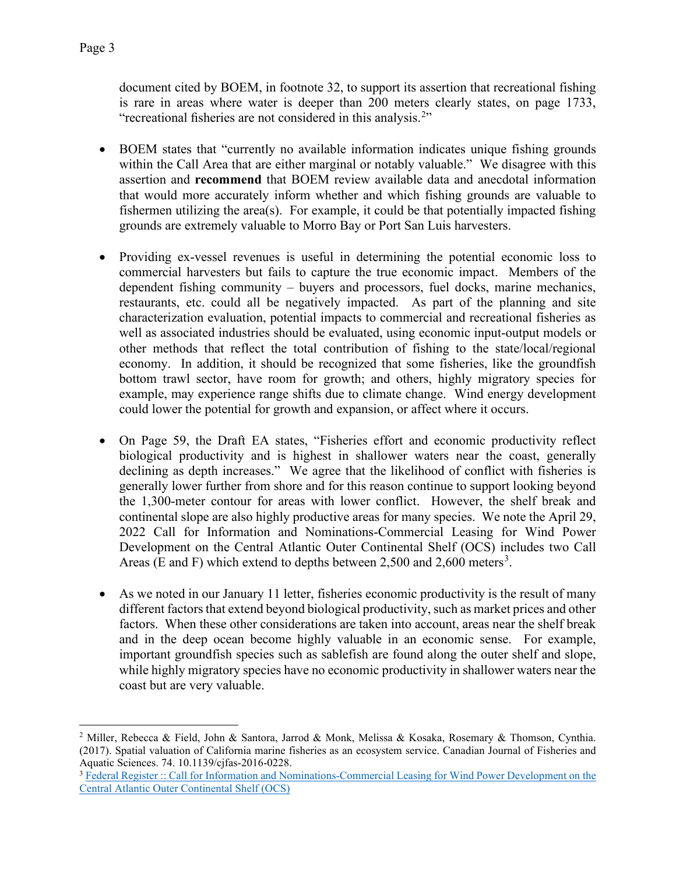document cited by BOEM, in footnote 32, to support its assertion that recreational fishing is rare in areas where water is deeper than 200 meters clearly states, on page 1733, "recreational fisheries are not considered in this analysis.<sup>[2](#page-2-0)</sup>"

- BOEM states that "currently no available information indicates unique fishing grounds within the Call Area that are either marginal or notably valuable." We disagree with this assertion and **recommend** that BOEM review available data and anecdotal information that would more accurately inform whether and which fishing grounds are valuable to fishermen utilizing the area(s). For example, it could be that potentially impacted fishing grounds are extremely valuable to Morro Bay or Port San Luis harvesters.
- Providing ex-vessel revenues is useful in determining the potential economic loss to commercial harvesters but fails to capture the true economic impact. Members of the dependent fishing community – buyers and processors, fuel docks, marine mechanics, restaurants, etc. could all be negatively impacted. As part of the planning and site characterization evaluation, potential impacts to commercial and recreational fisheries as well as associated industries should be evaluated, using economic input-output models or other methods that reflect the total contribution of fishing to the state/local/regional economy. In addition, it should be recognized that some fisheries, like the groundfish bottom trawl sector, have room for growth; and others, highly migratory species for example, may experience range shifts due to climate change. Wind energy development could lower the potential for growth and expansion, or affect where it occurs.
- On Page 59, the Draft EA states, "Fisheries effort and economic productivity reflect biological productivity and is highest in shallower waters near the coast, generally declining as depth increases." We agree that the likelihood of conflict with fisheries is generally lower further from shore and for this reason continue to support looking beyond the 1,300-meter contour for areas with lower conflict. However, the shelf break and continental slope are also highly productive areas for many species. We note the April 29, 2022 Call for Information and Nominations-Commercial Leasing for Wind Power Development on the Central Atlantic Outer Continental Shelf (OCS) includes two Call Areas (E and F) which extend to depths between 2,500 and 2,600 meters<sup>[3](#page-2-1)</sup>.
- As we noted in our January 11 letter, fisheries economic productivity is the result of many different factors that extend beyond biological productivity, such as market prices and other factors. When these other considerations are taken into account, areas near the shelf break and in the deep ocean become highly valuable in an economic sense. For example, important groundfish species such as sablefish are found along the outer shelf and slope, while highly migratory species have no economic productivity in shallower waters near the coast but are very valuable.

<span id="page-2-0"></span><sup>2</sup> Miller, Rebecca & Field, John & Santora, Jarrod & Monk, Melissa & Kosaka, Rosemary & Thomson, Cynthia. (2017). Spatial valuation of California marine fisheries as an ecosystem service. Canadian Journal of Fisheries and Aquatic Sciences. 74. 10.1139/cjfas-2016-0228.

<span id="page-2-1"></span><sup>&</sup>lt;sup>3</sup> Federal Register :: Call for Information and Nominations-Commercial Leasing for Wind Power Development on the [Central Atlantic Outer Continental Shelf \(OCS\)](https://www.federalregister.gov/documents/2022/04/29/2022-09036/call-for-information-and-nominations-commercial-leasing-for-wind-power-development-on-the-central#:%7E:text=This%20Call%20for%20Information%20and%20Nominations%20serves%20two,second%20is%20to%20help%20BOEM%20determine%20competitive%20interest.)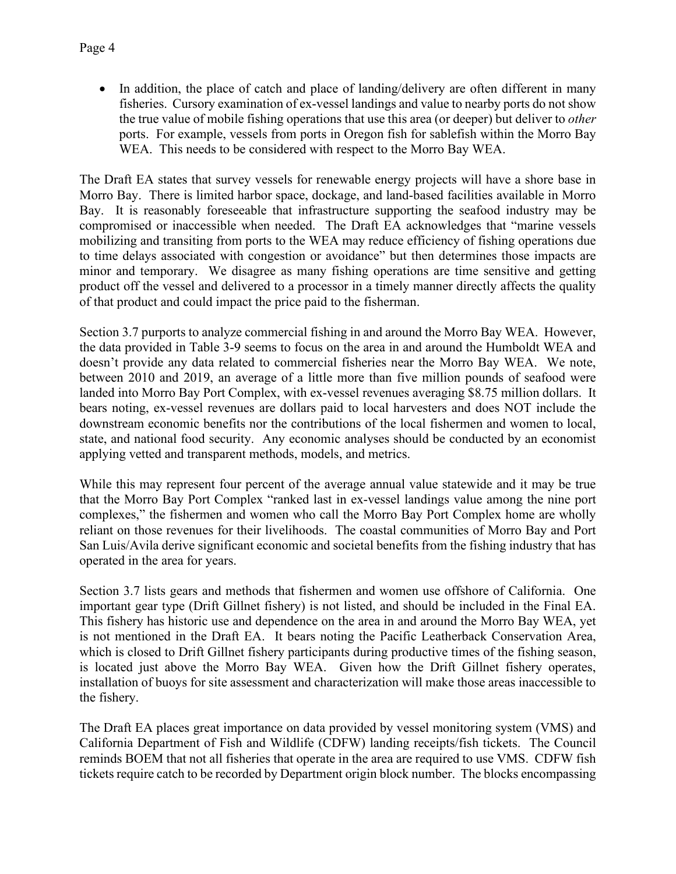• In addition, the place of catch and place of landing/delivery are often different in many fisheries. Cursory examination of ex-vessel landings and value to nearby ports do not show the true value of mobile fishing operations that use this area (or deeper) but deliver to *other* ports. For example, vessels from ports in Oregon fish for sablefish within the Morro Bay WEA. This needs to be considered with respect to the Morro Bay WEA.

The Draft EA states that survey vessels for renewable energy projects will have a shore base in Morro Bay. There is limited harbor space, dockage, and land-based facilities available in Morro Bay. It is reasonably foreseeable that infrastructure supporting the seafood industry may be compromised or inaccessible when needed. The Draft EA acknowledges that "marine vessels mobilizing and transiting from ports to the WEA may reduce efficiency of fishing operations due to time delays associated with congestion or avoidance" but then determines those impacts are minor and temporary. We disagree as many fishing operations are time sensitive and getting product off the vessel and delivered to a processor in a timely manner directly affects the quality of that product and could impact the price paid to the fisherman.

Section 3.7 purports to analyze commercial fishing in and around the Morro Bay WEA. However, the data provided in Table 3-9 seems to focus on the area in and around the Humboldt WEA and doesn't provide any data related to commercial fisheries near the Morro Bay WEA. We note, between 2010 and 2019, an average of a little more than five million pounds of seafood were landed into Morro Bay Port Complex, with ex-vessel revenues averaging \$8.75 million dollars. It bears noting, ex-vessel revenues are dollars paid to local harvesters and does NOT include the downstream economic benefits nor the contributions of the local fishermen and women to local, state, and national food security. Any economic analyses should be conducted by an economist applying vetted and transparent methods, models, and metrics.

While this may represent four percent of the average annual value statewide and it may be true that the Morro Bay Port Complex "ranked last in ex-vessel landings value among the nine port complexes," the fishermen and women who call the Morro Bay Port Complex home are wholly reliant on those revenues for their livelihoods. The coastal communities of Morro Bay and Port San Luis/Avila derive significant economic and societal benefits from the fishing industry that has operated in the area for years.

Section 3.7 lists gears and methods that fishermen and women use offshore of California. One important gear type (Drift Gillnet fishery) is not listed, and should be included in the Final EA. This fishery has historic use and dependence on the area in and around the Morro Bay WEA, yet is not mentioned in the Draft EA. It bears noting the Pacific Leatherback Conservation Area, which is closed to Drift Gillnet fishery participants during productive times of the fishing season, is located just above the Morro Bay WEA. Given how the Drift Gillnet fishery operates, installation of buoys for site assessment and characterization will make those areas inaccessible to the fishery.

The Draft EA places great importance on data provided by vessel monitoring system (VMS) and California Department of Fish and Wildlife (CDFW) landing receipts/fish tickets. The Council reminds BOEM that not all fisheries that operate in the area are required to use VMS. CDFW fish tickets require catch to be recorded by Department origin block number. The blocks encompassing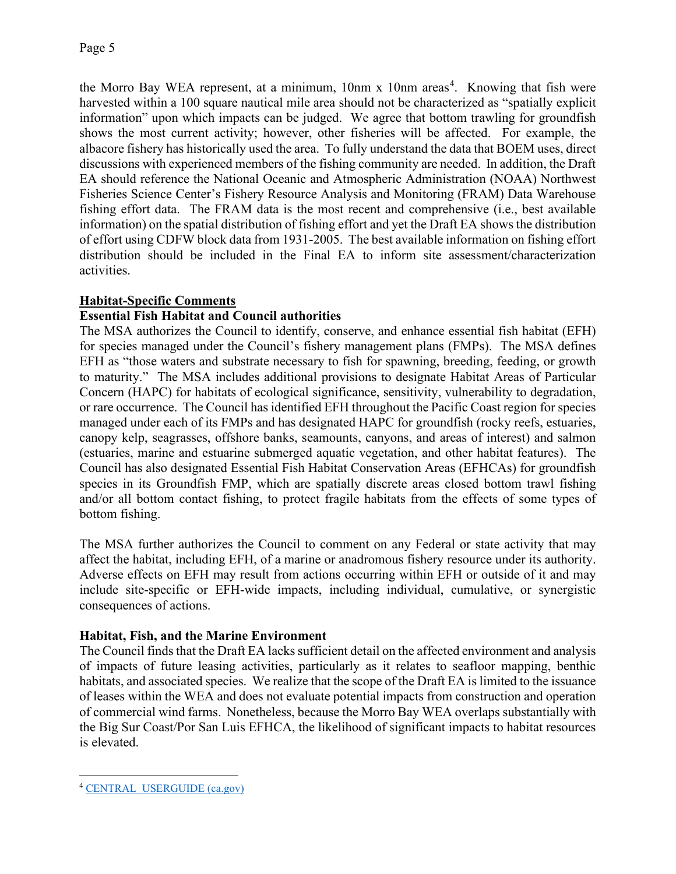the Morro Bay WEA represent, at a minimum, 10nm x 10nm areas<sup>[4](#page-4-0)</sup>. Knowing that fish were harvested within a 100 square nautical mile area should not be characterized as "spatially explicit information" upon which impacts can be judged. We agree that bottom trawling for groundfish shows the most current activity; however, other fisheries will be affected. For example, the albacore fishery has historically used the area. To fully understand the data that BOEM uses, direct discussions with experienced members of the fishing community are needed. In addition, the Draft EA should reference the National Oceanic and Atmospheric Administration (NOAA) Northwest Fisheries Science Center's Fishery Resource Analysis and Monitoring (FRAM) Data Warehouse fishing effort data. The FRAM data is the most recent and comprehensive (i.e., best available information) on the spatial distribution of fishing effort and yet the Draft EA shows the distribution of effort using CDFW block data from 1931-2005. The best available information on fishing effort distribution should be included in the Final EA to inform site assessment/characterization activities.

# **Habitat-Specific Comments**

# **Essential Fish Habitat and Council authorities**

The MSA authorizes the Council to identify, conserve, and enhance essential fish habitat (EFH) for species managed under the Council's fishery management plans (FMPs). The MSA defines EFH as "those waters and substrate necessary to fish for spawning, breeding, feeding, or growth to maturity." The MSA includes additional provisions to designate Habitat Areas of Particular Concern (HAPC) for habitats of ecological significance, sensitivity, vulnerability to degradation, or rare occurrence. The Council has identified EFH throughout the Pacific Coast region for species managed under each of its FMPs and has designated HAPC for groundfish (rocky reefs, estuaries, canopy kelp, seagrasses, offshore banks, seamounts, canyons, and areas of interest) and salmon (estuaries, marine and estuarine submerged aquatic vegetation, and other habitat features). The Council has also designated Essential Fish Habitat Conservation Areas (EFHCAs) for groundfish species in its Groundfish FMP, which are spatially discrete areas closed bottom trawl fishing and/or all bottom contact fishing, to protect fragile habitats from the effects of some types of bottom fishing.

The MSA further authorizes the Council to comment on any Federal or state activity that may affect the habitat, including EFH, of a marine or anadromous fishery resource under its authority. Adverse effects on EFH may result from actions occurring within EFH or outside of it and may include site-specific or EFH-wide impacts, including individual, cumulative, or synergistic consequences of actions.

# **Habitat, Fish, and the Marine Environment**

The Council finds that the Draft EA lacks sufficient detail on the affected environment and analysis of impacts of future leasing activities, particularly as it relates to seafloor mapping, benthic habitats, and associated species. We realize that the scope of the Draft EA is limited to the issuance of leases within the WEA and does not evaluate potential impacts from construction and operation of commercial wind farms. Nonetheless, because the Morro Bay WEA overlaps substantially with the Big Sur Coast/Por San Luis EFHCA, the likelihood of significant impacts to habitat resources is elevated.

<span id="page-4-0"></span><sup>4</sup> [CENTRAL\\_USERGUIDE \(ca.gov\)](https://nrm.dfg.ca.gov/FileHandler.ashx?DocumentID=144496&inline)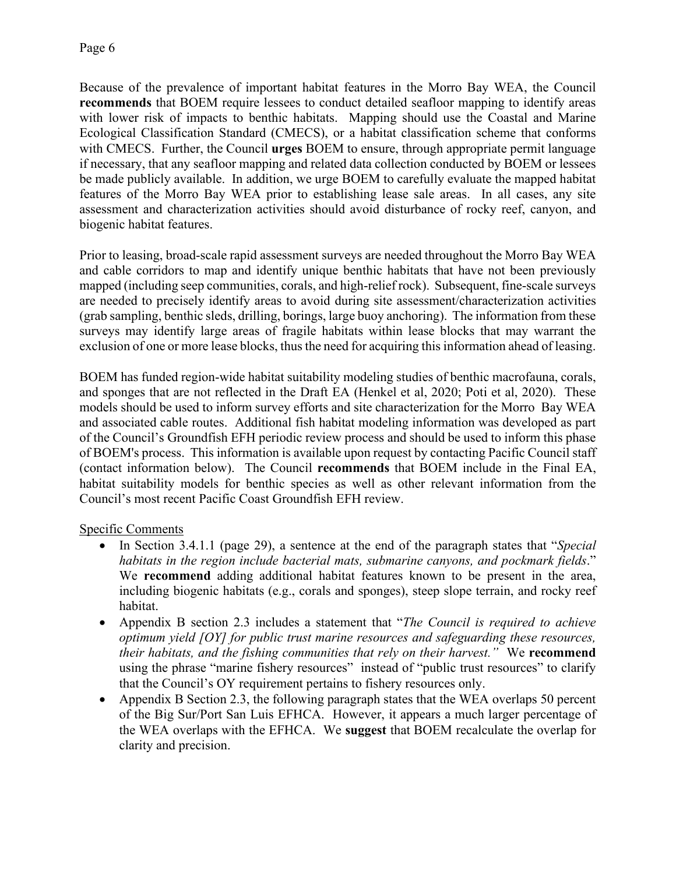Because of the prevalence of important habitat features in the Morro Bay WEA, the Council **recommends** that BOEM require lessees to conduct detailed seafloor mapping to identify areas with lower risk of impacts to benthic habitats. Mapping should use the Coastal and Marine Ecological Classification Standard (CMECS), or a habitat classification scheme that conforms with CMECS. Further, the Council **urges** BOEM to ensure, through appropriate permit language if necessary, that any seafloor mapping and related data collection conducted by BOEM or lessees be made publicly available. In addition, we urge BOEM to carefully evaluate the mapped habitat features of the Morro Bay WEA prior to establishing lease sale areas. In all cases, any site assessment and characterization activities should avoid disturbance of rocky reef, canyon, and biogenic habitat features.

Prior to leasing, broad-scale rapid assessment surveys are needed throughout the Morro Bay WEA and cable corridors to map and identify unique benthic habitats that have not been previously mapped (including seep communities, corals, and high-relief rock). Subsequent, fine-scale surveys are needed to precisely identify areas to avoid during site assessment/characterization activities (grab sampling, benthic sleds, drilling, borings, large buoy anchoring). The information from these surveys may identify large areas of fragile habitats within lease blocks that may warrant the exclusion of one or more lease blocks, thus the need for acquiring this information ahead of leasing.

BOEM has funded region-wide habitat suitability modeling studies of benthic macrofauna, corals, and sponges that are not reflected in the Draft EA (Henkel et al, 2020; Poti et al, 2020). These models should be used to inform survey efforts and site characterization for the Morro Bay WEA and associated cable routes. Additional fish habitat modeling information was developed as part of the Council's Groundfish EFH periodic review process and should be used to inform this phase of BOEM's process. This information is available upon request by contacting Pacific Council staff (contact information below). The Council **recommends** that BOEM include in the Final EA, habitat suitability models for benthic species as well as other relevant information from the Council's most recent Pacific Coast Groundfish EFH review.

# Specific Comments

- In Section 3.4.1.1 (page 29), a sentence at the end of the paragraph states that "*Special habitats in the region include bacterial mats, submarine canyons, and pockmark fields*." We **recommend** adding additional habitat features known to be present in the area, including biogenic habitats (e.g., corals and sponges), steep slope terrain, and rocky reef habitat.
- Appendix B section 2.3 includes a statement that "*The Council is required to achieve optimum yield [OY] for public trust marine resources and safeguarding these resources, their habitats, and the fishing communities that rely on their harvest."* We **recommend** using the phrase "marine fishery resources" instead of "public trust resources" to clarify that the Council's OY requirement pertains to fishery resources only.
- Appendix B Section 2.3, the following paragraph states that the WEA overlaps 50 percent of the Big Sur/Port San Luis EFHCA. However, it appears a much larger percentage of the WEA overlaps with the EFHCA. We **suggest** that BOEM recalculate the overlap for clarity and precision.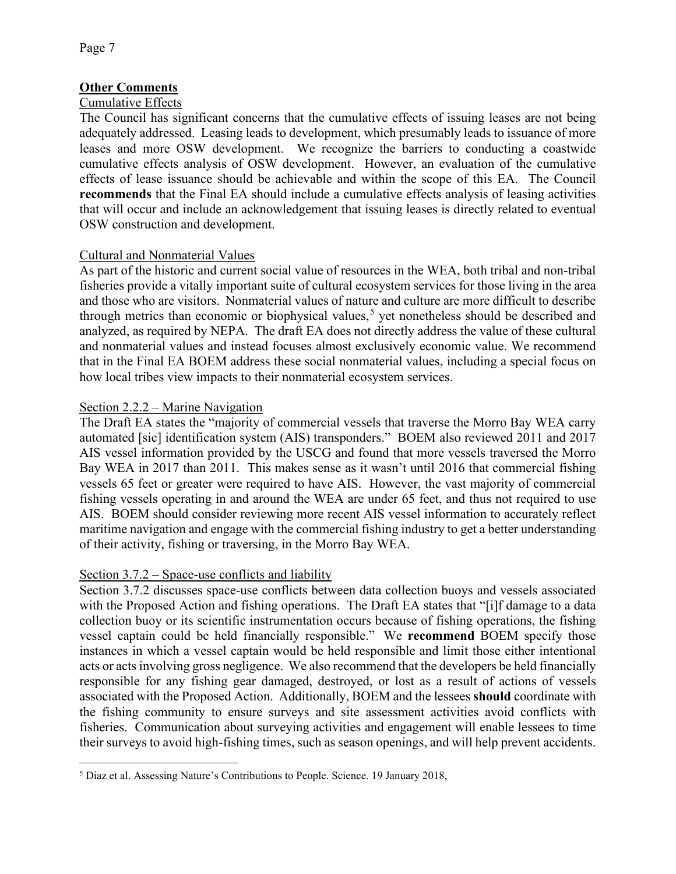# **Other Comments**

#### Cumulative Effects

The Council has significant concerns that the cumulative effects of issuing leases are not being adequately addressed. Leasing leads to development, which presumably leads to issuance of more leases and more OSW development. We recognize the barriers to conducting a coastwide cumulative effects analysis of OSW development. However, an evaluation of the cumulative effects of lease issuance should be achievable and within the scope of this EA. The Council **recommends** that the Final EA should include a cumulative effects analysis of leasing activities that will occur and include an acknowledgement that issuing leases is directly related to eventual OSW construction and development.

# Cultural and Nonmaterial Values

As part of the historic and current social value of resources in the WEA, both tribal and non-tribal fisheries provide a vitally important suite of cultural ecosystem services for those living in the area and those who are visitors. Nonmaterial values of nature and culture are more difficult to describe through metrics than economic or biophysical values,<sup>[5](#page-6-0)</sup> yet nonetheless should be described and analyzed, as required by NEPA. The draft EA does not directly address the value of these cultural and nonmaterial values and instead focuses almost exclusively economic value. We recommend that in the Final EA BOEM address these social nonmaterial values, including a special focus on how local tribes view impacts to their nonmaterial ecosystem services.

#### Section 2.2.2 – Marine Navigation

The Draft EA states the "majority of commercial vessels that traverse the Morro Bay WEA carry automated [sic] identification system (AIS) transponders." BOEM also reviewed 2011 and 2017 AIS vessel information provided by the USCG and found that more vessels traversed the Morro Bay WEA in 2017 than 2011. This makes sense as it wasn't until 2016 that commercial fishing vessels 65 feet or greater were required to have AIS. However, the vast majority of commercial fishing vessels operating in and around the WEA are under 65 feet, and thus not required to use AIS. BOEM should consider reviewing more recent AIS vessel information to accurately reflect maritime navigation and engage with the commercial fishing industry to get a better understanding of their activity, fishing or traversing, in the Morro Bay WEA.

# Section 3.7.2 – Space-use conflicts and liability

Section 3.7.2 discusses space-use conflicts between data collection buoys and vessels associated with the Proposed Action and fishing operations. The Draft EA states that "[i]f damage to a data collection buoy or its scientific instrumentation occurs because of fishing operations, the fishing vessel captain could be held financially responsible." We **recommend** BOEM specify those instances in which a vessel captain would be held responsible and limit those either intentional acts or acts involving gross negligence. We also recommend that the developers be held financially responsible for any fishing gear damaged, destroyed, or lost as a result of actions of vessels associated with the Proposed Action. Additionally, BOEM and the lessees **should** coordinate with the fishing community to ensure surveys and site assessment activities avoid conflicts with fisheries. Communication about surveying activities and engagement will enable lessees to time their surveys to avoid high-fishing times, such as season openings, and will help prevent accidents.

<span id="page-6-0"></span><sup>5</sup> Diaz et al. Assessing Nature's Contributions to People. Science. 19 January 2018,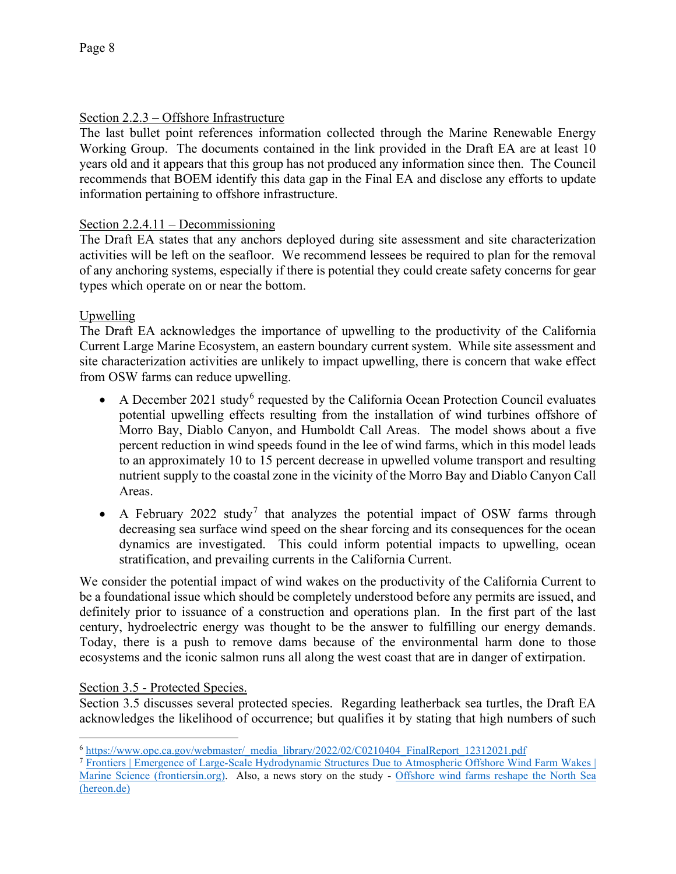# Section 2.2.3 – Offshore Infrastructure

The last bullet point references information collected through the Marine Renewable Energy Working Group. The documents contained in the link provided in the Draft EA are at least 10 years old and it appears that this group has not produced any information since then. The Council recommends that BOEM identify this data gap in the Final EA and disclose any efforts to update information pertaining to offshore infrastructure.

# Section 2.2.4.11 – Decommissioning

The Draft EA states that any anchors deployed during site assessment and site characterization activities will be left on the seafloor. We recommend lessees be required to plan for the removal of any anchoring systems, especially if there is potential they could create safety concerns for gear types which operate on or near the bottom.

# Upwelling

The Draft EA acknowledges the importance of upwelling to the productivity of the California Current Large Marine Ecosystem, an eastern boundary current system. While site assessment and site characterization activities are unlikely to impact upwelling, there is concern that wake effect from OSW farms can reduce upwelling.

- A December 2021 study<sup>[6](#page-7-0)</sup> requested by the California Ocean Protection Council evaluates potential upwelling effects resulting from the installation of wind turbines offshore of Morro Bay, Diablo Canyon, and Humboldt Call Areas. The model shows about a five percent reduction in wind speeds found in the lee of wind farms, which in this model leads to an approximately 10 to 15 percent decrease in upwelled volume transport and resulting nutrient supply to the coastal zone in the vicinity of the Morro Bay and Diablo Canyon Call Areas.
- A February 2022 study<sup>[7](#page-7-1)</sup> that analyzes the potential impact of OSW farms through decreasing sea surface wind speed on the shear forcing and its consequences for the ocean dynamics are investigated. This could inform potential impacts to upwelling, ocean stratification, and prevailing currents in the California Current.

We consider the potential impact of wind wakes on the productivity of the California Current to be a foundational issue which should be completely understood before any permits are issued, and definitely prior to issuance of a construction and operations plan. In the first part of the last century, hydroelectric energy was thought to be the answer to fulfilling our energy demands. Today, there is a push to remove dams because of the environmental harm done to those ecosystems and the iconic salmon runs all along the west coast that are in danger of extirpation.

# Section 3.5 - Protected Species.

Section 3.5 discusses several protected species. Regarding leatherback sea turtles, the Draft EA acknowledges the likelihood of occurrence; but qualifies it by stating that high numbers of such

<span id="page-7-0"></span><sup>6</sup> [https://www.opc.ca.gov/webmaster/\\_media\\_library/2022/02/C0210404\\_FinalReport\\_12312021.pdf](https://www.opc.ca.gov/webmaster/_media_library/2022/02/C0210404_FinalReport_12312021.pdf)

<span id="page-7-1"></span><sup>7</sup> [Frontiers | Emergence of Large-Scale Hydrodynamic Structures Due to Atmospheric Offshore Wind Farm Wakes |](https://www.frontiersin.org/articles/10.3389/fmars.2022.818501/full)  [Marine Science \(frontiersin.org\).](https://www.frontiersin.org/articles/10.3389/fmars.2022.818501/full) Also, a news story on the study - [Offshore wind farms reshape the North Sea](https://www.hereon.de/innovation_transfer/communication_media/news/104924/index.php.en?fbclid=IwAR1PGPxJezShcQi6lp4ueLZ2pC5fnpmLkktS1pHGlPuOnNZrZka0F2bwCjg)  [\(hereon.de\)](https://www.hereon.de/innovation_transfer/communication_media/news/104924/index.php.en?fbclid=IwAR1PGPxJezShcQi6lp4ueLZ2pC5fnpmLkktS1pHGlPuOnNZrZka0F2bwCjg)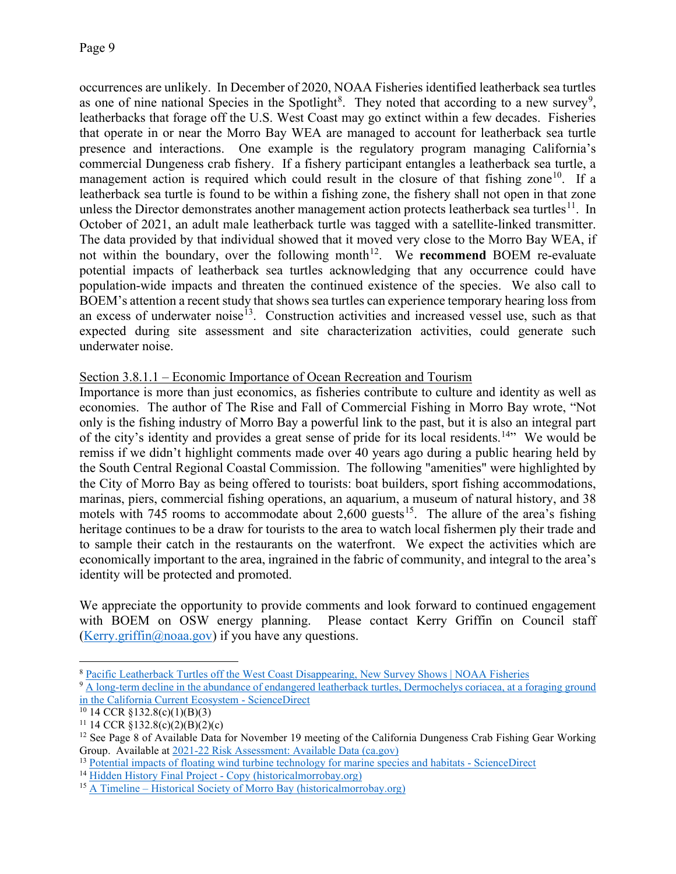occurrences are unlikely. In December of 2020, NOAA Fisheries identified leatherback sea turtles as one of nine national Species in the Spotlight<sup>[8](#page-8-0)</sup>. They noted that according to a new survey<sup>[9](#page-8-1)</sup>, leatherbacks that forage off the U.S. West Coast may go extinct within a few decades. Fisheries that operate in or near the Morro Bay WEA are managed to account for leatherback sea turtle presence and interactions. One example is the regulatory program managing California's commercial Dungeness crab fishery. If a fishery participant entangles a leatherback sea turtle, a management action is required which could result in the closure of that fishing zone<sup>10</sup>. If a leatherback sea turtle is found to be within a fishing zone, the fishery shall not open in that zone unless the Director demonstrates another management action protects leatherback sea turtles<sup>11</sup>. In October of 2021, an adult male leatherback turtle was tagged with a satellite-linked transmitter. The data provided by that individual showed that it moved very close to the Morro Bay WEA, if not within the boundary, over the following month<sup>[12](#page-8-4)</sup>. We **recommend** BOEM re-evaluate potential impacts of leatherback sea turtles acknowledging that any occurrence could have population-wide impacts and threaten the continued existence of the species. We also call to BOEM's attention a recent study that shows sea turtles can experience temporary hearing loss from an excess of underwater noise<sup>[13](#page-8-5)</sup>. Construction activities and increased vessel use, such as that expected during site assessment and site characterization activities, could generate such underwater noise.

# Section 3.8.1.1 – Economic Importance of Ocean Recreation and Tourism

Importance is more than just economics, as fisheries contribute to culture and identity as well as economies. The author of The Rise and Fall of Commercial Fishing in Morro Bay wrote, "Not only is the fishing industry of Morro Bay a powerful link to the past, but it is also an integral part of the city's identity and provides a great sense of pride for its local residents.<sup>[14](#page-8-6)</sup> We would be remiss if we didn't highlight comments made over 40 years ago during a public hearing held by the South Central Regional Coastal Commission. The following "amenities" were highlighted by the City of Morro Bay as being offered to tourists: boat builders, sport fishing accommodations, marinas, piers, commercial fishing operations, an aquarium, a museum of natural history, and 38 motels with 745 rooms to accommodate about 2,600 guests<sup>[15](#page-8-7)</sup>. The allure of the area's fishing heritage continues to be a draw for tourists to the area to watch local fishermen ply their trade and to sample their catch in the restaurants on the waterfront. We expect the activities which are economically important to the area, ingrained in the fabric of community, and integral to the area's identity will be protected and promoted.

We appreciate the opportunity to provide comments and look forward to continued engagement with BOEM on OSW energy planning. Please contact Kerry Griffin on Council staff (Kerry.griffin $(\partial \Omega)$ noaa.gov) if you have any questions.

<span id="page-8-0"></span><sup>8</sup> [Pacific Leatherback Turtles off the West Coast Disappearing, New Survey Shows | NOAA Fisheries](https://www.fisheries.noaa.gov/feature-story/pacific-leatherback-turtles-west-coast-disappearing-new-survey-shows#:%7E:text=Pacific%20leatherback%20turtles%20are%20one%20of%20nine%20national,bycatch%2C%20of%20Pacific%20leatherback%20turtles%20in%20U.S.%20fisheries.)

<span id="page-8-1"></span><sup>&</sup>lt;sup>9</sup> A long-term decline in the abundance of endangered leatherback turtles, Dermochelys coriacea, at a foraging ground [in the California Current Ecosystem -](https://www.sciencedirect.com/science/article/pii/S2351989420309124?via%3Dihub) ScienceDirect

<span id="page-8-2"></span> $10$  14 CCR §132.8(c)(1)(B)(3)

<span id="page-8-3"></span><sup>&</sup>lt;sup>11</sup> 14 CCR  $\sqrt[8]{132.8(c)(2)(B)(2)(c)}$ 

<span id="page-8-4"></span><sup>&</sup>lt;sup>12</sup> See Page 8 of Available Data for November 19 meeting of the California Dungeness Crab Fishing Gear Working Group. Available at [2021-22 Risk Assessment: Available Data \(ca.gov\)](https://nrm.dfg.ca.gov/FileHandler.ashx?DocumentID=195691&inline)

<span id="page-8-5"></span><sup>&</sup>lt;sup>13</sup> [Potential impacts of floating wind turbine technology for marine species and habitats -](https://www.sciencedirect.com/science/article/pii/S0301479722001505?via%3Dihub) ScienceDirect

<span id="page-8-6"></span><sup>&</sup>lt;sup>14</sup> Hidden History Final Project - [Copy \(historicalmorrobay.org\)](http://historicalmorrobay.org/wp-content/uploads/2019/06/Hidden-History-Final-Project-Copy-1.pdf)

<span id="page-8-7"></span> $15$  A Timeline – [Historical Society of Morro Bay \(historicalmorrobay.org\)](http://historicalmorrobay.org/a-timeline/)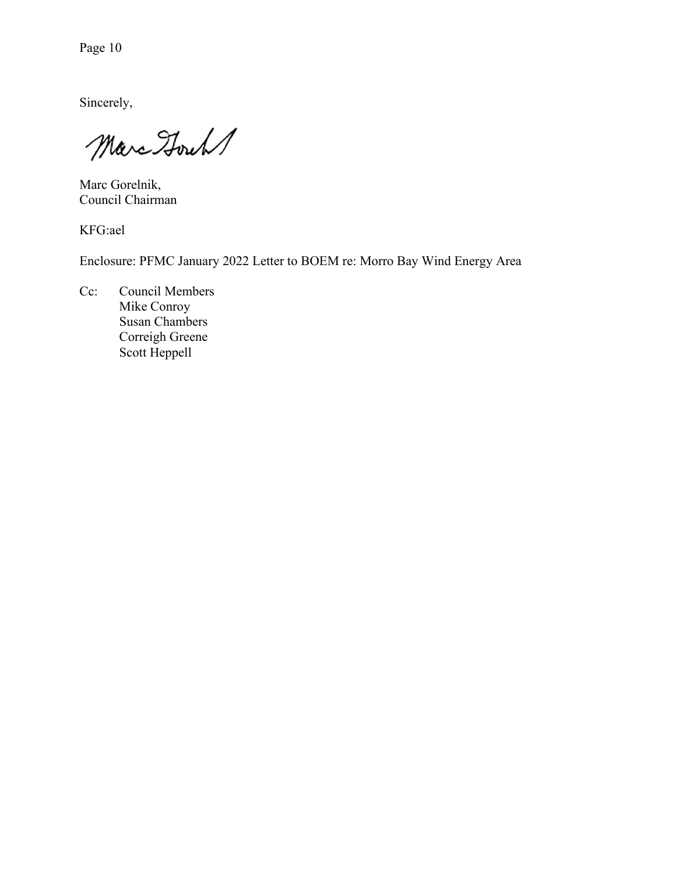Page 10

Sincerely,

Marc Hours

Marc Gorelnik, Council Chairman

KFG:ael

Enclosure: PFMC January 2022 Letter to BOEM re: Morro Bay Wind Energy Area

Cc: Council Members Mike Conroy Susan Chambers Correigh Greene Scott Heppell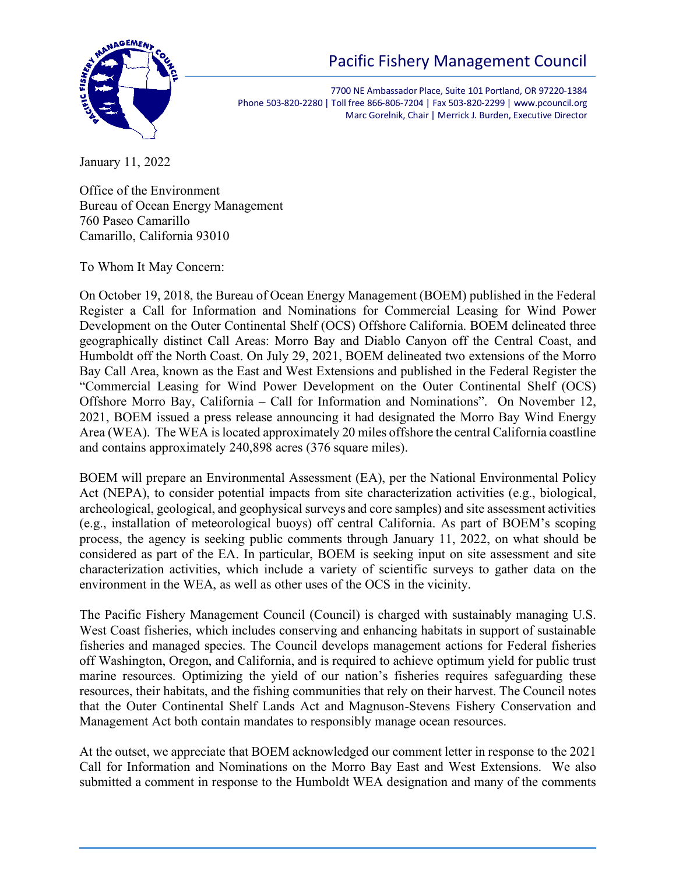# Pacific Fishery Management Council



7700 NE Ambassador Place, Suite 101 Portland, OR 97220-1384 Phone 503-820-2280 | Toll free 866-806-7204 | Fax 503-820-2299 | www.pcouncil.org Marc Gorelnik, Chair | Merrick J. Burden, Executive Director

January 11, 2022

Office of the Environment Bureau of Ocean Energy Management 760 Paseo Camarillo Camarillo, California 93010

To Whom It May Concern:

On October 19, 2018, the Bureau of Ocean Energy Management (BOEM) published in the Federal Register a Call for Information and Nominations for Commercial Leasing for Wind Power Development on the Outer Continental Shelf (OCS) Offshore California. BOEM delineated three geographically distinct Call Areas: Morro Bay and Diablo Canyon off the Central Coast, and Humboldt off the North Coast. On July 29, 2021, BOEM delineated two extensions of the Morro Bay Call Area, known as the East and West Extensions and published in the Federal Register the "Commercial Leasing for Wind Power Development on the Outer Continental Shelf (OCS) Offshore Morro Bay, California – Call for Information and Nominations". On November 12, 2021, BOEM issued a press release announcing it had designated the Morro Bay Wind Energy Area (WEA). The WEA is located approximately 20 miles offshore the central California coastline and contains approximately 240,898 acres (376 square miles).

BOEM will prepare an Environmental Assessment (EA), per the National Environmental Policy Act (NEPA), to consider potential impacts from site characterization activities (e.g., biological, archeological, geological, and geophysical surveys and core samples) and site assessment activities (e.g., installation of meteorological buoys) off central California. As part of BOEM's scoping process, the agency is seeking public comments through January 11, 2022, on what should be considered as part of the EA. In particular, BOEM is seeking input on site assessment and site characterization activities, which include a variety of scientific surveys to gather data on the environment in the WEA, as well as other uses of the OCS in the vicinity.

The Pacific Fishery Management Council (Council) is charged with sustainably managing U.S. West Coast fisheries, which includes conserving and enhancing habitats in support of sustainable fisheries and managed species. The Council develops management actions for Federal fisheries off Washington, Oregon, and California, and is required to achieve optimum yield for public trust marine resources. Optimizing the yield of our nation's fisheries requires safeguarding these resources, their habitats, and the fishing communities that rely on their harvest. The Council notes that the Outer Continental Shelf Lands Act and Magnuson-Stevens Fishery Conservation and Management Act both contain mandates to responsibly manage ocean resources.

At the outset, we appreciate that BOEM acknowledged our comment letter in response to the 2021 Call for Information and Nominations on the Morro Bay East and West Extensions. We also submitted a comment in response to the Humboldt WEA designation and many of the comments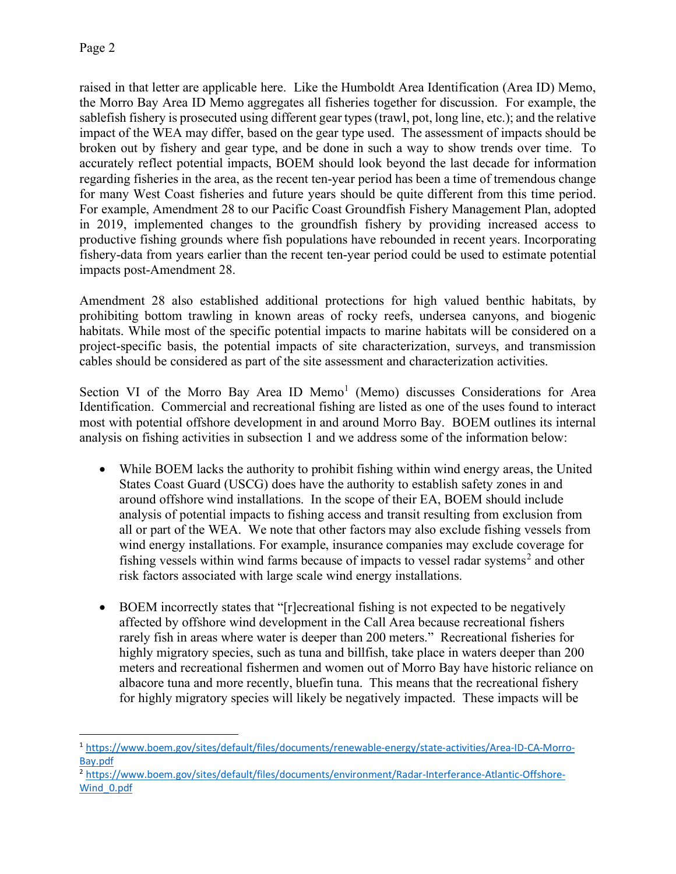raised in that letter are applicable here. Like the Humboldt Area Identification (Area ID) Memo, the Morro Bay Area ID Memo aggregates all fisheries together for discussion. For example, the sablefish fishery is prosecuted using different gear types (trawl, pot, long line, etc.); and the relative impact of the WEA may differ, based on the gear type used. The assessment of impacts should be broken out by fishery and gear type, and be done in such a way to show trends over time. To accurately reflect potential impacts, BOEM should look beyond the last decade for information regarding fisheries in the area, as the recent ten-year period has been a time of tremendous change for many West Coast fisheries and future years should be quite different from this time period. For example, Amendment 28 to our Pacific Coast Groundfish Fishery Management Plan, adopted in 2019, implemented changes to the groundfish fishery by providing increased access to productive fishing grounds where fish populations have rebounded in recent years. Incorporating fishery-data from years earlier than the recent ten-year period could be used to estimate potential impacts post-Amendment 28.

Amendment 28 also established additional protections for high valued benthic habitats, by prohibiting bottom trawling in known areas of rocky reefs, undersea canyons, and biogenic habitats. While most of the specific potential impacts to marine habitats will be considered on a project-specific basis, the potential impacts of site characterization, surveys, and transmission cables should be considered as part of the site assessment and characterization activities.

Section VI of the Morro Bay Area ID Memo<sup>[1](#page-11-0)</sup> (Memo) discusses Considerations for Area Identification. Commercial and recreational fishing are listed as one of the uses found to interact most with potential offshore development in and around Morro Bay. BOEM outlines its internal analysis on fishing activities in subsection 1 and we address some of the information below:

- While BOEM lacks the authority to prohibit fishing within wind energy areas, the United States Coast Guard (USCG) does have the authority to establish safety zones in and around offshore wind installations. In the scope of their EA, BOEM should include analysis of potential impacts to fishing access and transit resulting from exclusion from all or part of the WEA. We note that other factors may also exclude fishing vessels from wind energy installations. For example, insurance companies may exclude coverage for fishing vessels within wind farms because of impacts to vessel radar systems<sup>[2](#page-11-1)</sup> and other risk factors associated with large scale wind energy installations.
- BOEM incorrectly states that "[r]ecreational fishing is not expected to be negatively affected by offshore wind development in the Call Area because recreational fishers rarely fish in areas where water is deeper than 200 meters." Recreational fisheries for highly migratory species, such as tuna and billfish, take place in waters deeper than 200 meters and recreational fishermen and women out of Morro Bay have historic reliance on albacore tuna and more recently, bluefin tuna. This means that the recreational fishery for highly migratory species will likely be negatively impacted. These impacts will be

<span id="page-11-0"></span><sup>1</sup> [https://www.boem.gov/sites/default/files/documents/renewable-energy/state-activities/Area-ID-CA-Morro-](https://www.boem.gov/sites/default/files/documents/renewable-energy/state-activities/Area-ID-CA-Morro-Bay.pdf)[Bay.pdf](https://www.boem.gov/sites/default/files/documents/renewable-energy/state-activities/Area-ID-CA-Morro-Bay.pdf)

<span id="page-11-1"></span><sup>2</sup> [https://www.boem.gov/sites/default/files/documents/environment/Radar-Interferance-Atlantic-Offshore-](https://www.boem.gov/sites/default/files/documents/environment/Radar-Interferance-Atlantic-Offshore-Wind_0.pdf)[Wind\\_0.pdf](https://www.boem.gov/sites/default/files/documents/environment/Radar-Interferance-Atlantic-Offshore-Wind_0.pdf)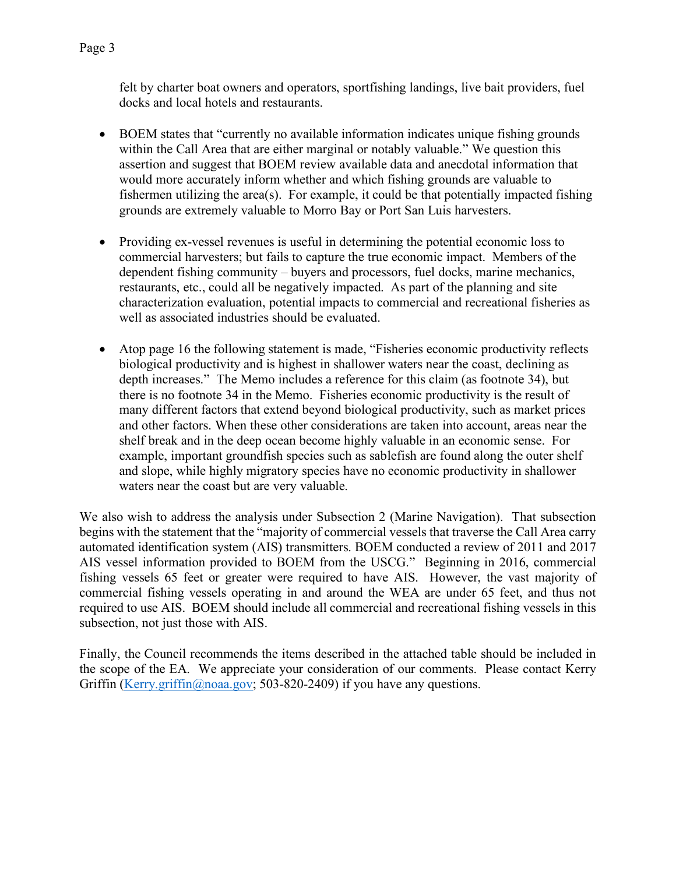- BOEM states that "currently no available information indicates unique fishing grounds within the Call Area that are either marginal or notably valuable." We question this assertion and suggest that BOEM review available data and anecdotal information that would more accurately inform whether and which fishing grounds are valuable to fishermen utilizing the area(s). For example, it could be that potentially impacted fishing grounds are extremely valuable to Morro Bay or Port San Luis harvesters.
- Providing ex-vessel revenues is useful in determining the potential economic loss to commercial harvesters; but fails to capture the true economic impact. Members of the dependent fishing community – buyers and processors, fuel docks, marine mechanics, restaurants, etc., could all be negatively impacted. As part of the planning and site characterization evaluation, potential impacts to commercial and recreational fisheries as well as associated industries should be evaluated.
- Atop page 16 the following statement is made, "Fisheries economic productivity reflects biological productivity and is highest in shallower waters near the coast, declining as depth increases." The Memo includes a reference for this claim (as footnote 34), but there is no footnote 34 in the Memo. Fisheries economic productivity is the result of many different factors that extend beyond biological productivity, such as market prices and other factors. When these other considerations are taken into account, areas near the shelf break and in the deep ocean become highly valuable in an economic sense. For example, important groundfish species such as sablefish are found along the outer shelf and slope, while highly migratory species have no economic productivity in shallower waters near the coast but are very valuable.

We also wish to address the analysis under Subsection 2 (Marine Navigation). That subsection begins with the statement that the "majority of commercial vessels that traverse the Call Area carry automated identification system (AIS) transmitters. BOEM conducted a review of 2011 and 2017 AIS vessel information provided to BOEM from the USCG." Beginning in 2016, commercial fishing vessels 65 feet or greater were required to have AIS. However, the vast majority of commercial fishing vessels operating in and around the WEA are under 65 feet, and thus not required to use AIS. BOEM should include all commercial and recreational fishing vessels in this subsection, not just those with AIS.

Finally, the Council recommends the items described in the attached table should be included in the scope of the EA. We appreciate your consideration of our comments. Please contact Kerry Griffin [\(Kerry.griffin@noaa.gov;](mailto:Kerry.griffin@noaa.gov) 503-820-2409) if you have any questions.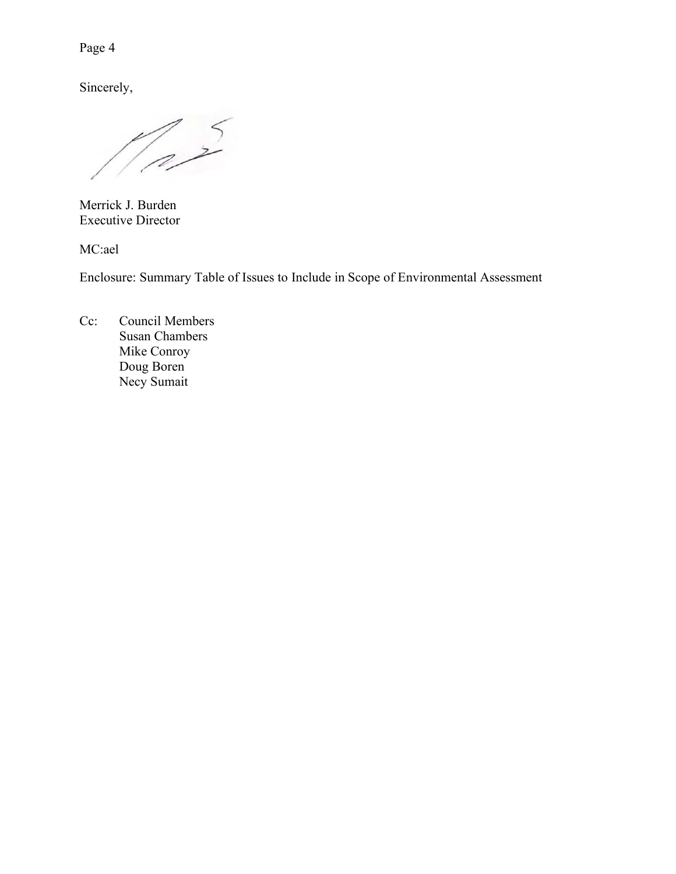Page 4

Sincerely,

 $\frac{2}{3}$ 

Merrick J. Burden Executive Director

MC:ael

Enclosure: Summary Table of Issues to Include in Scope of Environmental Assessment

Cc: Council Members Susan Chambers Mike Conroy Doug Boren Necy Sumait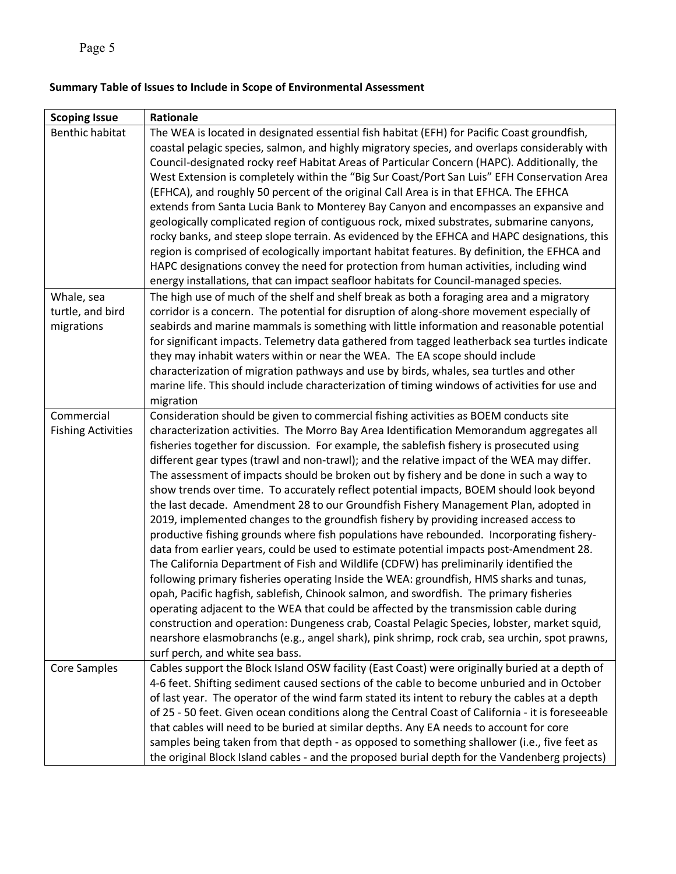# **Summary Table of Issues to Include in Scope of Environmental Assessment**

| <b>Scoping Issue</b>      | Rationale                                                                                         |
|---------------------------|---------------------------------------------------------------------------------------------------|
| <b>Benthic habitat</b>    | The WEA is located in designated essential fish habitat (EFH) for Pacific Coast groundfish,       |
|                           | coastal pelagic species, salmon, and highly migratory species, and overlaps considerably with     |
|                           | Council-designated rocky reef Habitat Areas of Particular Concern (HAPC). Additionally, the       |
|                           | West Extension is completely within the "Big Sur Coast/Port San Luis" EFH Conservation Area       |
|                           | (EFHCA), and roughly 50 percent of the original Call Area is in that EFHCA. The EFHCA             |
|                           | extends from Santa Lucia Bank to Monterey Bay Canyon and encompasses an expansive and             |
|                           | geologically complicated region of contiguous rock, mixed substrates, submarine canyons,          |
|                           | rocky banks, and steep slope terrain. As evidenced by the EFHCA and HAPC designations, this       |
|                           | region is comprised of ecologically important habitat features. By definition, the EFHCA and      |
|                           | HAPC designations convey the need for protection from human activities, including wind            |
|                           | energy installations, that can impact seafloor habitats for Council-managed species.              |
| Whale, sea                | The high use of much of the shelf and shelf break as both a foraging area and a migratory         |
| turtle, and bird          | corridor is a concern. The potential for disruption of along-shore movement especially of         |
| migrations                | seabirds and marine mammals is something with little information and reasonable potential         |
|                           | for significant impacts. Telemetry data gathered from tagged leatherback sea turtles indicate     |
|                           | they may inhabit waters within or near the WEA. The EA scope should include                       |
|                           | characterization of migration pathways and use by birds, whales, sea turtles and other            |
|                           | marine life. This should include characterization of timing windows of activities for use and     |
|                           | migration                                                                                         |
| Commercial                | Consideration should be given to commercial fishing activities as BOEM conducts site              |
| <b>Fishing Activities</b> | characterization activities. The Morro Bay Area Identification Memorandum aggregates all          |
|                           | fisheries together for discussion. For example, the sablefish fishery is prosecuted using         |
|                           | different gear types (trawl and non-trawl); and the relative impact of the WEA may differ.        |
|                           | The assessment of impacts should be broken out by fishery and be done in such a way to            |
|                           | show trends over time. To accurately reflect potential impacts, BOEM should look beyond           |
|                           | the last decade. Amendment 28 to our Groundfish Fishery Management Plan, adopted in               |
|                           | 2019, implemented changes to the groundfish fishery by providing increased access to              |
|                           | productive fishing grounds where fish populations have rebounded. Incorporating fishery-          |
|                           | data from earlier years, could be used to estimate potential impacts post-Amendment 28.           |
|                           | The California Department of Fish and Wildlife (CDFW) has preliminarily identified the            |
|                           | following primary fisheries operating Inside the WEA: groundfish, HMS sharks and tunas,           |
|                           | opah, Pacific hagfish, sablefish, Chinook salmon, and swordfish. The primary fisheries            |
|                           | operating adjacent to the WEA that could be affected by the transmission cable during             |
|                           | construction and operation: Dungeness crab, Coastal Pelagic Species, lobster, market squid,       |
|                           | nearshore elasmobranchs (e.g., angel shark), pink shrimp, rock crab, sea urchin, spot prawns,     |
|                           | surf perch, and white sea bass.                                                                   |
| Core Samples              | Cables support the Block Island OSW facility (East Coast) were originally buried at a depth of    |
|                           | 4-6 feet. Shifting sediment caused sections of the cable to become unburied and in October        |
|                           | of last year. The operator of the wind farm stated its intent to rebury the cables at a depth     |
|                           | of 25 - 50 feet. Given ocean conditions along the Central Coast of California - it is foreseeable |
|                           | that cables will need to be buried at similar depths. Any EA needs to account for core            |
|                           | samples being taken from that depth - as opposed to something shallower (i.e., five feet as       |
|                           | the original Block Island cables - and the proposed burial depth for the Vandenberg projects)     |